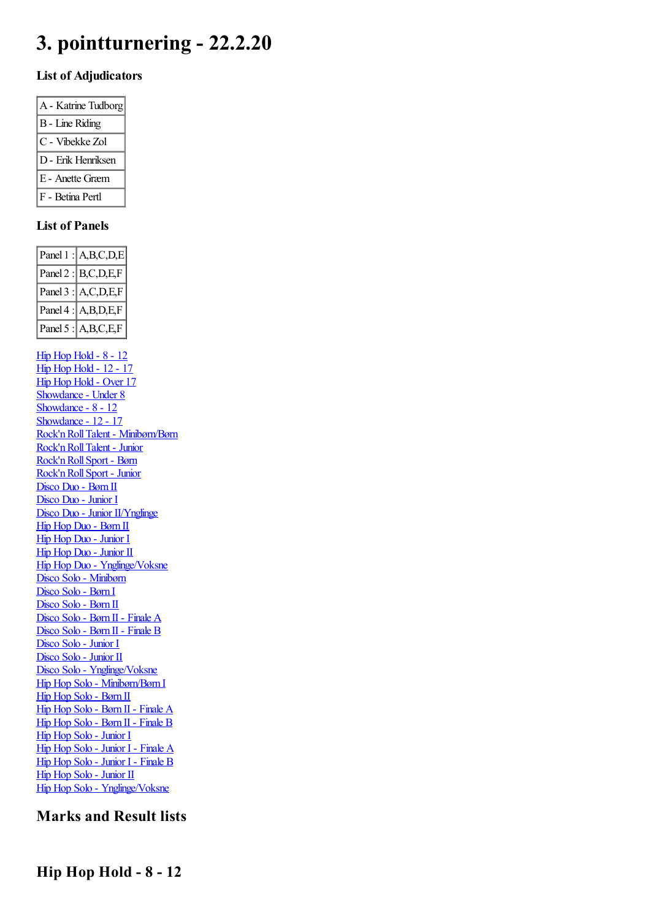# **3. pointturnering - 22.2.20**

#### **List of Adjudicators**

| A - Katrine Tudborg    |
|------------------------|
| <b>B</b> - Line Riding |
| C - Vibekke Zol        |
| D - Erik Henriksen     |
| E - Anette Græm        |
| F - Betina Pertl       |

#### **List of Panels**

| Panel $1$ : $A,B,C,D,E$                                |
|--------------------------------------------------------|
| Panel $2$ : B,C,D,E,F                                  |
| Panel 3 : A,C,D,E,F                                    |
| Panel $4$ : A, B, D, E, F                              |
| Panel 5 : $A,B,C,E,F$                                  |
|                                                        |
| <b>Hip Hop Hold - 8 - 12</b>                           |
| <b>Hip Hop Hold - 12 - 17</b>                          |
| Hip Hop Hold - Over 17                                 |
| Showdance - Under 8                                    |
| Showdance - 8 - 12<br>Showdance - 12 - 17              |
|                                                        |
| Rock'n Roll Talent - Minibørn/Børn                     |
| Rock'n Roll Talent - Junior                            |
| Rock'n Roll Sport - Børn                               |
| Rock'n Roll Sport - Junior                             |
| Disco Duo - Børn II                                    |
| Disco Duo - Junior I                                   |
| Disco Duo - Junior II/Ynglinge                         |
| Hip Hop Duo - Børn II                                  |
| Hip Hop Duo - Junior I                                 |
| Hip Hop Duo - Junior II                                |
| Hip Hop Duo - Ynglinge/Voksne                          |
| Disco Solo - Minibørn                                  |
| Disco Solo - Børn I                                    |
| Disco Solo - Børn II                                   |
| Disco Solo - Børn II - Finale A                        |
| Disco Solo - Børn II - Finale B                        |
| Disco Solo - Junior I                                  |
|                                                        |
| Disco Solo - Junior II<br>Disco Solo - Ynglinge/Voksne |
| Hip Hop Solo - Minibørn/Børn I                         |
| Hip Hop Solo - Børn II                                 |
| Hip Hop Solo - Børn II - Finale A                      |
| Hip Hop Solo - Børn II - Finale B                      |
| Hip Hop Solo - Junior I                                |
| Hip Hop Solo - Junior I - Finale A                     |
| Hip Hop Solo - Junior I - Finale B                     |
| Hip Hop Solo - Junior II                               |
| Hip Hop Solo - Ynglinge/Voksne                         |
|                                                        |

# <span id="page-0-0"></span>**Marks and Result lists**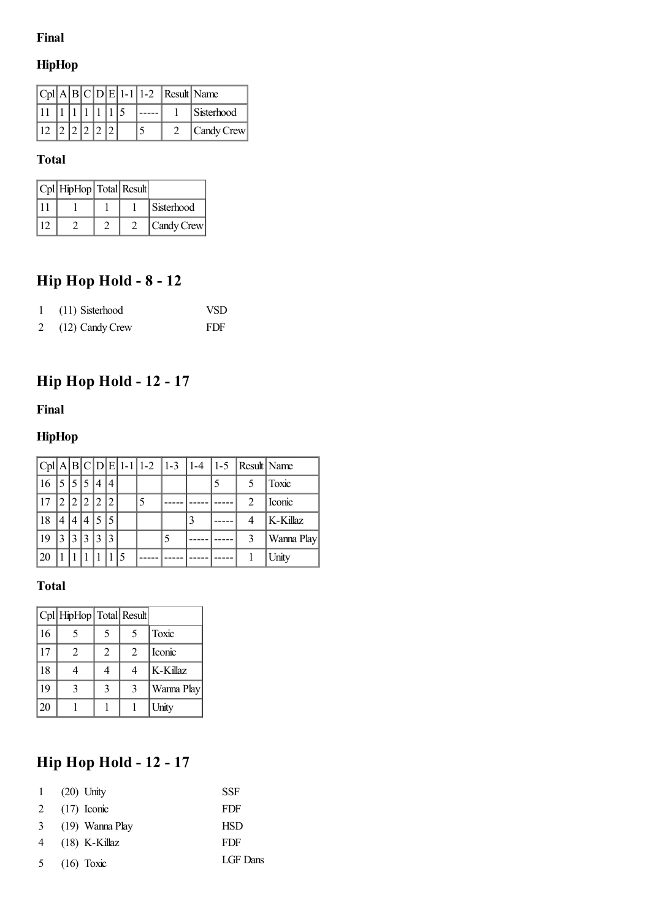### **Final**

# **HipHop**

|  |  |  |  | $ Cpl A B C D E 1-1 1-2$ Result Name |            |
|--|--|--|--|--------------------------------------|------------|
|  |  |  |  |                                      | Sisterhood |
|  |  |  |  |                                      | Candy Crew |

# **Total**

| Cpl   HipHop   Total   Result |  |            |
|-------------------------------|--|------------|
|                               |  | Sisterhood |
|                               |  | Candy Crew |

# **Hip Hop Hold - 8 - 12**

| 1 (11) Sisterhood | VSD. |
|-------------------|------|
| (12) Candy Crew   | FDF  |

# <span id="page-1-0"></span>**Hip Hop Hold - 12 - 17**

### **Final**

## **HipHop**

|    |              |                |   |   |  |  | $ Cpl A B C D E 1-1 1-2 1-3 1-4 1-5 Result Name$ |            |
|----|--------------|----------------|---|---|--|--|--------------------------------------------------|------------|
| 16 |              | $5^{\circ}$    | 4 | 4 |  |  | 5                                                | Toxic      |
|    | $^{\prime}2$ |                |   |   |  |  | 2                                                | Iconic     |
| 18 | 4            | $\overline{4}$ |   |   |  |  |                                                  | K-Killaz   |
| 19 |              |                |   | 3 |  |  | 3                                                | Wanna Play |
| 20 |              |                |   |   |  |  |                                                  | Unity      |

## **Total**

|                 | Cpl HipHop Total Result |   |   |            |
|-----------------|-------------------------|---|---|------------|
| 16              |                         | 5 | 5 | Toxic      |
| 17              | $\mathfrak{D}$          | 2 | 2 | Iconic     |
| 18              |                         |   | 4 | K-Killaz   |
| 19              | 3                       | 3 | 3 | Wanna Play |
| $\overline{20}$ |                         |   |   | Unity      |

# **Hip Hop Hold - 12 - 17**

|   | 1 $(20)$ Unity  | <b>SSF</b> |
|---|-----------------|------------|
|   | 2 $(17)$ Iconic | <b>FDF</b> |
| 3 | (19) Wanna Play | <b>HSD</b> |
| 4 | $(18)$ K-Killaz | FDF        |
| 5 | $(16)$ Toxic    | LGF Dans   |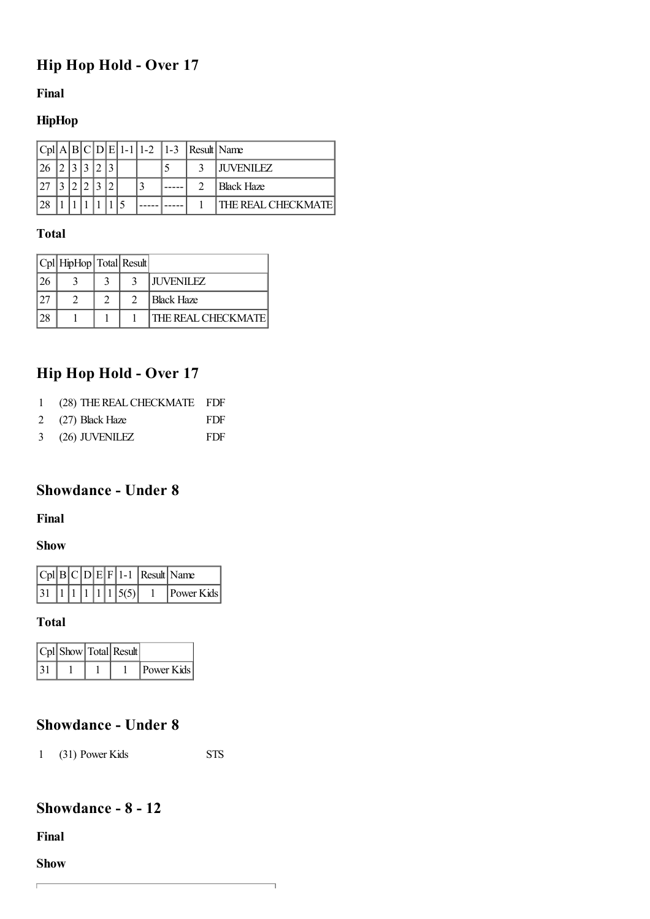# <span id="page-2-0"></span>**Hip Hop Hold - Over 17**

#### **Final**

### **HipHop**

|     |  |  |  |  | $ Cpl A B C D E 1-1 1-2 1-3 $ Result Name |                           |
|-----|--|--|--|--|-------------------------------------------|---------------------------|
|     |  |  |  |  |                                           | <b>LIUVENILEZ</b>         |
|     |  |  |  |  |                                           | <b>Black Haze</b>         |
| 128 |  |  |  |  |                                           | <b>THE REAL CHECKMATE</b> |

#### **Total**

| Cpl   HipHop   Total   Result |  |                           |
|-------------------------------|--|---------------------------|
|                               |  | <b>JUVENILEZ</b>          |
|                               |  | <b>Black Haze</b>         |
|                               |  | <b>THE REAL CHECKMATE</b> |

# **Hip Hop Hold - Over 17**

- 2 (27) Black Haze FDF
- 3 (26) JUVENILEZ FDF

### <span id="page-2-1"></span>**Showdance - Under 8**

#### **Final**

#### **Show**

|  |  |  |                                                             | $ Cpl B C D E F 1-1 $ Result Name |            |
|--|--|--|-------------------------------------------------------------|-----------------------------------|------------|
|  |  |  | $\left  \frac{1}{1} \right  \left  \frac{1}{15(5)} \right $ |                                   | Power Kids |

#### **Total**

|  | $ Cpl $ Show $ Total $ Result |            |
|--|-------------------------------|------------|
|  |                               | Power Kids |

## **Showdance - Under 8**

1 (31) Power Kids STS

 $\overline{\phantom{a}}$ 

## <span id="page-2-2"></span>**Showdance - 8 - 12**

**Final**

**Show**

 $\overline{1}$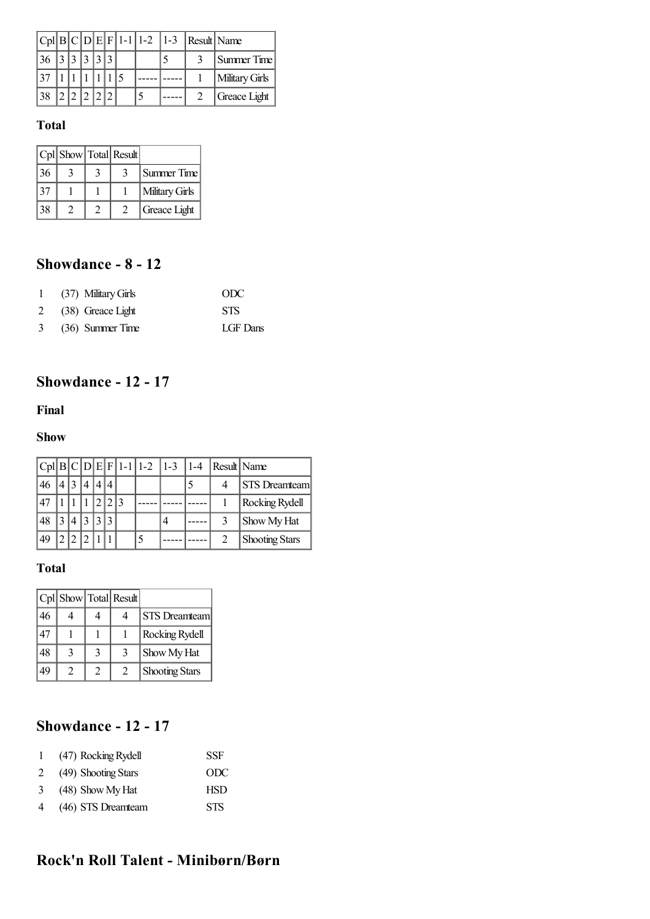|                   |  |  |  | $ Cpl B C D E F 1-1 1-2 1-3$ | Result Name |                |
|-------------------|--|--|--|------------------------------|-------------|----------------|
| $36$ $ 3 3 3 3 3$ |  |  |  |                              |             | Summer Time    |
| $ 37\rangle$      |  |  |  |                              |             | Military Girls |
| $138 +$           |  |  |  |                              |             | Greace Light   |

|    |  | Cpl Show Total Result |                |
|----|--|-----------------------|----------------|
| 36 |  |                       | Summer Time    |
|    |  |                       | Military Girls |
| 38 |  |                       | Greace Light   |

# **Showdance - 8 - 12**

| 1 (37) Military Girls | ODC        |
|-----------------------|------------|
| 2 (38) Greace Light   | <b>STS</b> |
| 3 (36) Summer Time    | LGF Dans   |

# <span id="page-3-0"></span>**Showdance - 12 - 17**

#### **Final**

#### **Show**

|     |  |  |  | $ Cpl B C D E F 1-1 1-2 1-3$ | $ 1-4 $ | Result Name |                       |
|-----|--|--|--|------------------------------|---------|-------------|-----------------------|
| 46  |  |  |  |                              |         |             | <b>STS</b> Dreamteam  |
| .47 |  |  |  |                              |         |             | Rocking Rydell        |
| 48  |  |  |  |                              |         |             | Show My Hat           |
| 49  |  |  |  |                              |         |             | <b>Shooting Stars</b> |

### **Total**

|    |   |                | Cpl Show Total Result |                       |
|----|---|----------------|-----------------------|-----------------------|
| 46 |   |                |                       | <b>STS</b> Dreamteam  |
| 47 |   |                |                       | Rocking Rydell        |
| 48 | 3 | 3              | 3                     | Show My Hat           |
| 49 | 2 | $\overline{c}$ | $\mathcal{L}$         | <b>Shooting Stars</b> |

# **Showdance - 12 - 17**

| $\mathbf{1}$ | (47) Rocking Rydell | <b>SSF</b> |
|--------------|---------------------|------------|
| 2            | (49) Shooting Stars | ODC        |
| 3            | (48) Show My Hat    | <b>HSD</b> |
| 4            | (46) STS Dreamteam  | <b>STS</b> |

# <span id="page-3-1"></span>**Rock'n Roll Talent - Minibørn/Børn**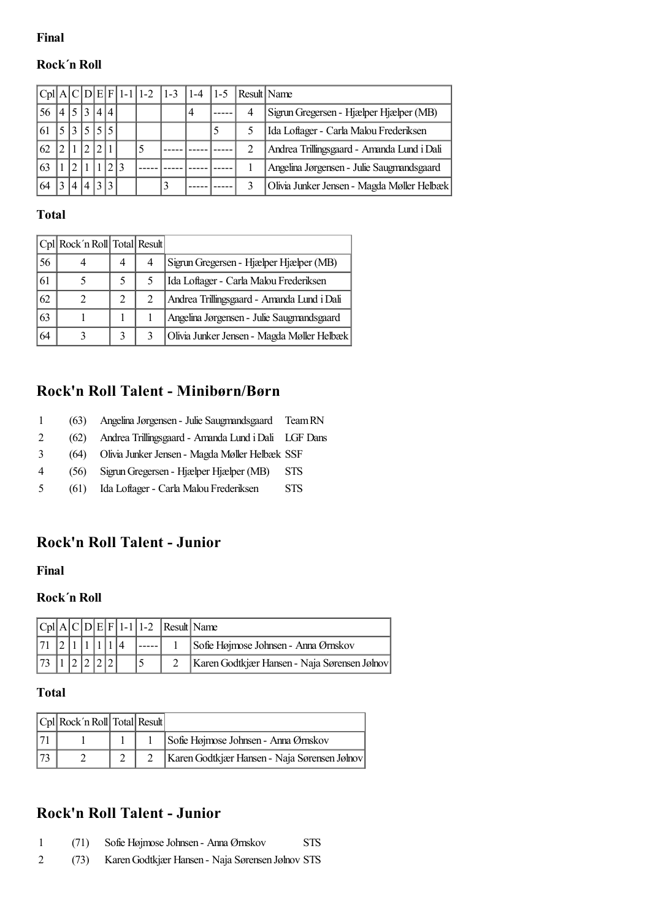#### **Rock´n Roll**

|    |                |              |     |  | $ Cpl A C D E F 1-1 1-2 1-3$ | 1-4 | $1 - 5$ |   | Result Name                                |
|----|----------------|--------------|-----|--|------------------------------|-----|---------|---|--------------------------------------------|
| 56 | 5 <sub>1</sub> | $\mathbf{3}$ | 414 |  |                              | 4   |         | 4 | Sigrun Gregersen - Hjælper Hjælper (MB)    |
|    | $\mathbf{r}$   | $\leq$       |     |  |                              |     | 5       |   | Ida Loftager - Carla Malou Frederiksen     |
| 62 |                |              |     |  |                              |     |         | 2 | Andrea Trillingsgaard - Amanda Lund i Dali |
| 63 |                |              |     |  |                              |     |         |   | Angelina Jørgensen - Julie Saugmandsgaard  |
|    | 4              |              |     |  |                              |     |         |   | Olivia Junker Jensen - Magda Møller Helbæk |

#### **Total**

|    | Cpl Rock'n Roll Total Result |   |   |                                            |
|----|------------------------------|---|---|--------------------------------------------|
| 56 |                              | 4 | 4 | Sigrun Gregersen - Hjælper Hjælper (MB)    |
| 61 |                              | 5 |   | Ida Loftager - Carla Malou Frederiksen     |
| 62 |                              |   |   | Andrea Trillingsgaard - Amanda Lund i Dali |
| 63 |                              |   |   | Angelina Jørgensen - Julie Saugmandsgaard  |
| 64 |                              | 3 |   | Olivia Junker Jensen - Magda Møller Helbæk |

#### **Rock'n Roll Talent - Minibørn/Børn**

- 1 (63) AngelinaJørgensen Julie Saugmandsgaard TeamRN
- 2 (62) Andrea Trillingsgaard Amanda Lund iDali LGF Dans
- 3 (64) OliviaJunker Jensen Magda Møller Helbæk SSF
- 4 (56) SigrunGregersen Hjælper Hjælper (MB) STS
- 5 (61) Ida Loftager Carla Malou Frederiksen STS

### <span id="page-4-0"></span>**Rock'n Roll Talent - Junior**

#### **Final**

#### **Rock´n Roll**

|    |  |  |  | $ Cpl A C D E F 1-1 1-2$ Result Name |                                              |
|----|--|--|--|--------------------------------------|----------------------------------------------|
|    |  |  |  |                                      | Sofie Højmose Johnsen - Anna Ørnskov         |
| 73 |  |  |  |                                      | Karen Godtkjær Hansen - Naja Sørensen Jølnov |

#### **Total**

|    | $ Cpl $ Rock'n Roll Total Result |  |                                              |
|----|----------------------------------|--|----------------------------------------------|
|    |                                  |  | Sofie Højmose Johnsen - Anna Ørnskov         |
| 73 |                                  |  | Karen Godtkjær Hansen - Naja Sørensen Jølnov |

### **Rock'n Roll Talent - Junior**

- 1 (71) Sofie Højmose Johnsen Anna Ørnskov STS
- 2 (73) KarenGodtkjær Hansen Naja Sørensen Jølnov STS

#### **Final**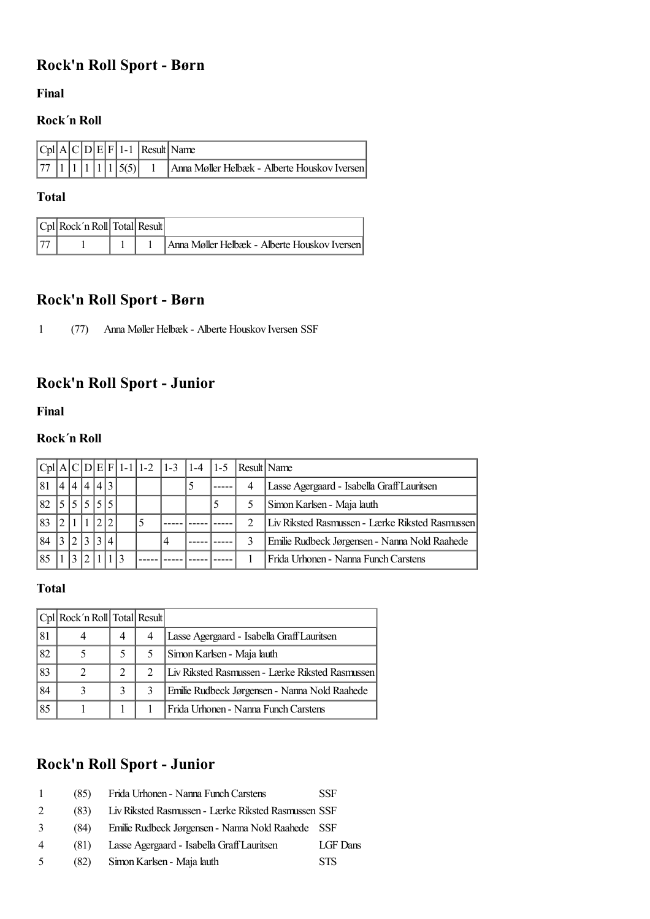## <span id="page-5-0"></span>**Rock'n Roll Sport - Børn**

**Final**

#### **Rock´n Roll**

|  |  |  |                                                                | $ Cpl A C D E F 1-1 $ Result Name            |
|--|--|--|----------------------------------------------------------------|----------------------------------------------|
|  |  |  | $\left  77 \right  1 \left  1 \right  1 \left  1 \right  5(5)$ | Anna Møller Helbæk - Alberte Houskov Iversen |

#### **Total**

| Cpl Rock'n Roll Total Result |  |                                              |
|------------------------------|--|----------------------------------------------|
|                              |  | Anna Møller Helbæk - Alberte Houskov Iversen |

## **Rock'n Roll Sport - Børn**

1 (77) Anna Møller Helbæk - Alberte Houskov Iversen SSF

# <span id="page-5-1"></span>**Rock'n Roll Sport - Junior**

**Final**

#### **Rock´n Roll**

|    |                          |    |       |  |  |  |   |   | $ Cpl A C D E F 1-1 1-2 1-3 1-4 1-5 Result Name$ |
|----|--------------------------|----|-------|--|--|--|---|---|--------------------------------------------------|
| 81 | $\overline{\mathcal{A}}$ | 14 | 4 4 3 |  |  |  |   | 4 | Lasse Agergaard - Isabella Graff Lauritsen       |
| 82 |                          |    |       |  |  |  | 5 |   | Simon Karlsen - Maja lauth                       |
| 83 |                          |    |       |  |  |  |   | っ | Liv Riksted Rasmussen - Lærke Riksted Rasmussen  |
| 84 |                          |    |       |  |  |  |   | 3 | Emilie Rudbeck Jørgensen - Nanna Nold Raahede    |
| 85 |                          |    |       |  |  |  |   |   | Frida Urhonen - Nanna Funch Carstens             |

#### **Total**

|    | Cpl Rock'n Roll Total Result |   |   |                                                 |
|----|------------------------------|---|---|-------------------------------------------------|
| 81 | 4                            | 4 | 4 | Lasse Agergaard - Isabella Graff Lauritsen      |
| 82 | 5                            |   |   | Simon Karlsen - Maja lauth                      |
| 83 | 2                            |   |   | Liv Riksted Rasmussen - Lærke Riksted Rasmussen |
| 84 | 3                            | 3 |   | Emilie Rudbeck Jørgensen - Nanna Nold Raahede   |
| 85 |                              |   |   | Frida Urhonen - Nanna Funch Carstens            |

# **Rock'n Roll Sport - Junior**

|                | (85) | Frida Urhonen - Nanna Funch Carstens                | <b>SSF</b> |
|----------------|------|-----------------------------------------------------|------------|
| 2              | (83) | Liv Riksted Rasmussen - Lærke Riksted Rasmussen SSF |            |
| 3              | (84) | Emilie Rudbeck Jørgensen - Nanna Nold Raahede SSF   |            |
| $\overline{4}$ | (81) | Lasse Agergaard - Isabella Graff Lauritsen          | LGF Dans   |
| -5             | (82) | Simon Karlsen - Maja lauth                          | <b>STS</b> |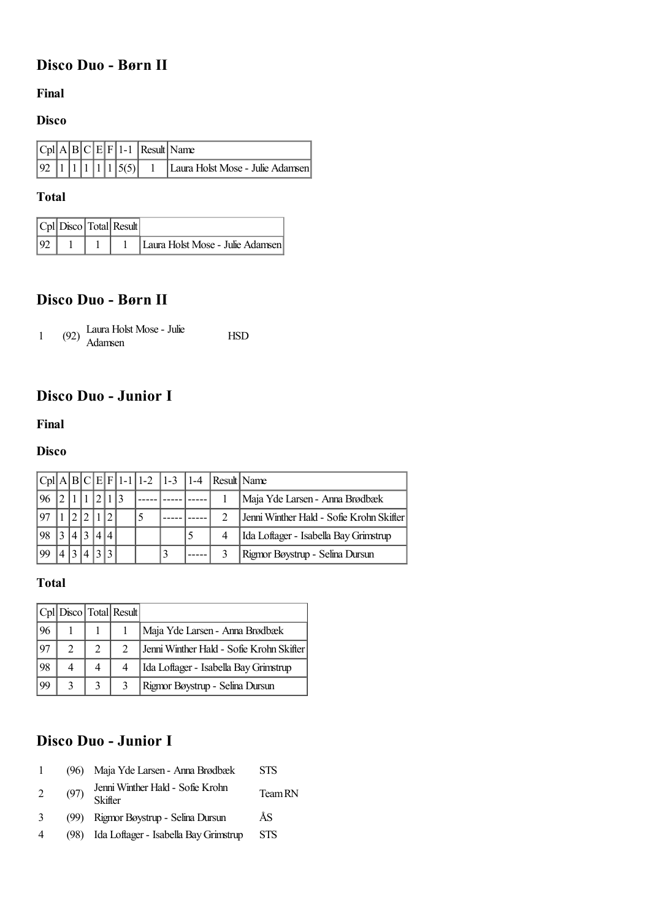## <span id="page-6-0"></span>**Disco Duo - Børn II**

#### **Final**

#### **Disco**

|  |  |  |  | $ Cpl A B C E F 1-1 $ Result Name |
|--|--|--|--|-----------------------------------|
|  |  |  |  |                                   |

#### **Total**

|  | $ Cpl $ Disco $ Total $ Result |                                  |
|--|--------------------------------|----------------------------------|
|  |                                | Laura Holst Mose - Julie Adamsen |

## **Disco Duo - Børn II**

|  |  | Laura Holst Mose - Julie<br>$(92)$ $\frac{1}{\text{Adamsen}}$ | <b>HSD</b> |
|--|--|---------------------------------------------------------------|------------|
|--|--|---------------------------------------------------------------|------------|

# <span id="page-6-1"></span>**Disco Duo - Junior I**

#### **Final**

#### **Disco**

|     |     |  |  |   | $ Cpl A B C E F 1-1 1-2 1-3 1-4 Result Name$ |                                          |
|-----|-----|--|--|---|----------------------------------------------|------------------------------------------|
|     |     |  |  |   |                                              | Maja Yde Larsen - Anna Brødbæk           |
|     |     |  |  |   |                                              | Jenni Winther Hald - Sofie Krohn Skifter |
| .98 | 4 3 |  |  |   |                                              | Ida Loftager - Isabella Bay Grimstrup    |
| 99  |     |  |  | 3 |                                              | Rigmor Bøystrup - Selina Dursun          |

#### **Total**

|     |               | Cpl   Disco   Total   Result |                                          |
|-----|---------------|------------------------------|------------------------------------------|
| 96  |               |                              | Maja Yde Larsen - Anna Brødbæk           |
| .97 | $\mathcal{L}$ |                              | Jenni Winther Hald - Sofie Krohn Skifter |
| 98  |               |                              | Ida Loftager - Isabella Bay Grimstrup    |
| 99  |               |                              | Rigmor Bøystrup - Selina Dursun          |

# **Disco Duo - Junior I**

|   | (96) | Maja Yde Larsen - Anna Brødbæk              | <b>STS</b> |
|---|------|---------------------------------------------|------------|
| 2 | (97) | Jenni Winther Hald - Sofie Krohn<br>Skifter | Team RN    |
| 3 | (99) | Rigmor Bøystrup - Selina Dursun             | ÅS         |
| 4 | (98) | Ida Loftager - Isabella Bay Grimstrup       | <b>STS</b> |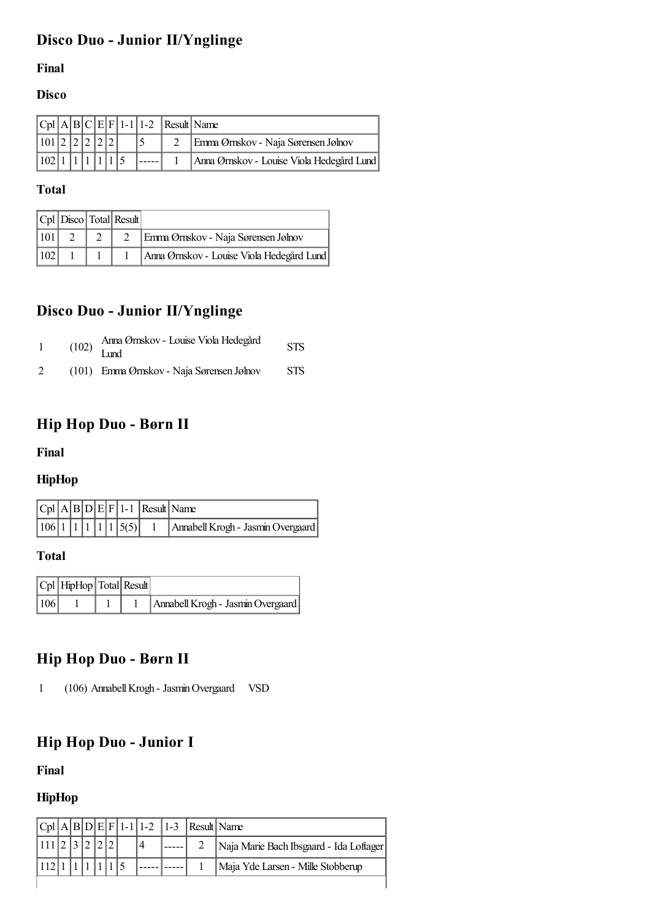# <span id="page-7-0"></span>**Disco Duo - Junior II/Ynglinge**

#### **Final**

#### **Disco**

|                                                                   |  |  |  | $ Cpl A B C E F 1-1 1-2$ Result Name |                                           |
|-------------------------------------------------------------------|--|--|--|--------------------------------------|-------------------------------------------|
| $\vert 101 \vert 2 \vert 2 \vert 2 \vert 2 \vert 2 \vert 2 \vert$ |  |  |  |                                      | Emma Ørnskov - Naja Sørensen Jølnov       |
|                                                                   |  |  |  |                                      | Anna Ørnskov - Louise Viola Hedegård Lund |

#### **Total**

|     |  | $ Cpl $ Disco $ Total $ Result |                                           |
|-----|--|--------------------------------|-------------------------------------------|
| 101 |  |                                | Emma Ørnskov - Naja Sørensen Jølnov       |
| 102 |  |                                | Anna Ørnskov - Louise Viola Hedegård Lund |

# **Disco Duo - Junior II/Ynglinge**

|   | $(102)$ $\frac{\text{Aula}}{\text{Lund}}$ | Anna Ørnskov - Louise Viola Hedegård      | <b>STS</b> |
|---|-------------------------------------------|-------------------------------------------|------------|
| 2 |                                           | (101) Emma Ørnskov - Naja Sørensen Jølnov | <b>STS</b> |

## <span id="page-7-1"></span>**Hip Hop Duo - Børn II**

#### **Final**

#### **HipHop**

|  |  |  |                    | $ Cpl A B D E F 1-1 $ Result Name |
|--|--|--|--------------------|-----------------------------------|
|  |  |  | 106 1 1 1 1 1 5(5) | Annabell Krogh - Jasmin Overgaard |

#### **Total**

|     | $ Cpl $ HipHop $ Total $ Result |  |                                   |
|-----|---------------------------------|--|-----------------------------------|
| 106 |                                 |  | Annabell Krogh - Jasmin Overgaard |

## **Hip Hop Duo - Børn II**

1 (106) AnnabellKrogh - JasminOvergaard VSD

# <span id="page-7-2"></span>**Hip Hop Duo - Junior I**

**Final**

### **HipHop**

|  |  |  |  |  | $ Cpl A B D E F 1-1 1-2 1-3 $ Result Name |                                         |
|--|--|--|--|--|-------------------------------------------|-----------------------------------------|
|  |  |  |  |  |                                           | Naja Marie Bach Ibsgaard - Ida Loftager |
|  |  |  |  |  |                                           | Maja Yde Larsen - Mille Stobberup       |
|  |  |  |  |  |                                           |                                         |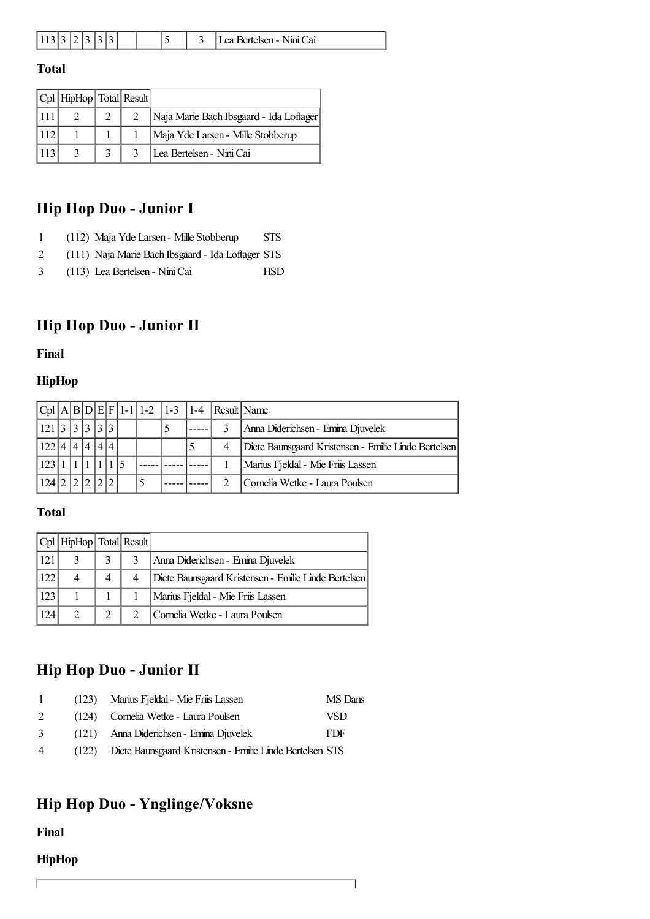| 11 | . |  |  |  |  |  |  |  | - | $P$ ortelsen - $\ldots$<br>Nini Cai |
|----|---|--|--|--|--|--|--|--|---|-------------------------------------|
|----|---|--|--|--|--|--|--|--|---|-------------------------------------|

|     | $ Cpl $ HipHop $ Total $ Result |  |                                         |
|-----|---------------------------------|--|-----------------------------------------|
|     |                                 |  | Naja Marie Bach Ibsgaard - Ida Loftager |
| 112 |                                 |  | Maja Yde Larsen - Mille Stobberup       |
| 113 |                                 |  | Lea Bertelsen - Nini Cai                |

# **Hip Hop Duo - Junior I**

|  |  |  | (112) Maja Yde Larsen - Mille Stobberup | STS |
|--|--|--|-----------------------------------------|-----|
|--|--|--|-----------------------------------------|-----|

- 2 (111) Naja Marie Bach Ibsgaard Ida Loftager STS
- 3 (113) Lea Bertelsen NiniCai HSD

# <span id="page-8-0"></span>**Hip Hop Duo - Junior II**

**Final**

#### **HipHop**

|                         |  |       |  |  |  | $ Cpl A B D E F 1-1 1-2 1-3 1-4 Result Name$ |                                                      |
|-------------------------|--|-------|--|--|--|----------------------------------------------|------------------------------------------------------|
| 121                     |  | 3 3 3 |  |  |  |                                              | Anna Diderichsen - Emina Djuvelek                    |
| 122   4   4   4   4   4 |  |       |  |  |  |                                              | Dicte Baunsgaard Kristensen - Emilie Linde Bertelsen |
| 123                     |  |       |  |  |  |                                              | Marius Fjeldal - Mie Friis Lassen                    |
| 124                     |  |       |  |  |  |                                              | Cornelia Wetke - Laura Poulsen                       |

**Total**

|     | $ Cpl $ HipHop $ Total $ Result |               |                                                      |
|-----|---------------------------------|---------------|------------------------------------------------------|
| 121 |                                 | 3             | Anna Diderichsen - Emina Djuvelek                    |
| 122 |                                 |               | Dicte Baunsgaard Kristensen - Emilie Linde Bertelsen |
| 123 |                                 |               | Marius Fjeldal - Mie Friis Lassen                    |
| 124 | $\gamma$                        | $\mathcal{L}$ | Cornelia Wetke - Laura Poulsen                       |

# **Hip Hop Duo - Junior II**

| $\mathbf{1}$   | (123) Marius Fjeldal - Mie Friis Lassen                        | MS Dans    |
|----------------|----------------------------------------------------------------|------------|
| $2^{\circ}$    | (124) Cornelia Wetke - Laura Poulsen                           | VSD        |
| $\mathcal{E}$  | (121) Anna Diderichsen - Emina Djuvelek                        | <b>FDF</b> |
| $\overline{4}$ | (122) Dicte Baunsgaard Kristensen - Emilie Linde Bertelsen STS |            |

### <span id="page-8-1"></span>**Hip Hop Duo - Ynglinge/Voksne**

**Final**

#### **HipHop**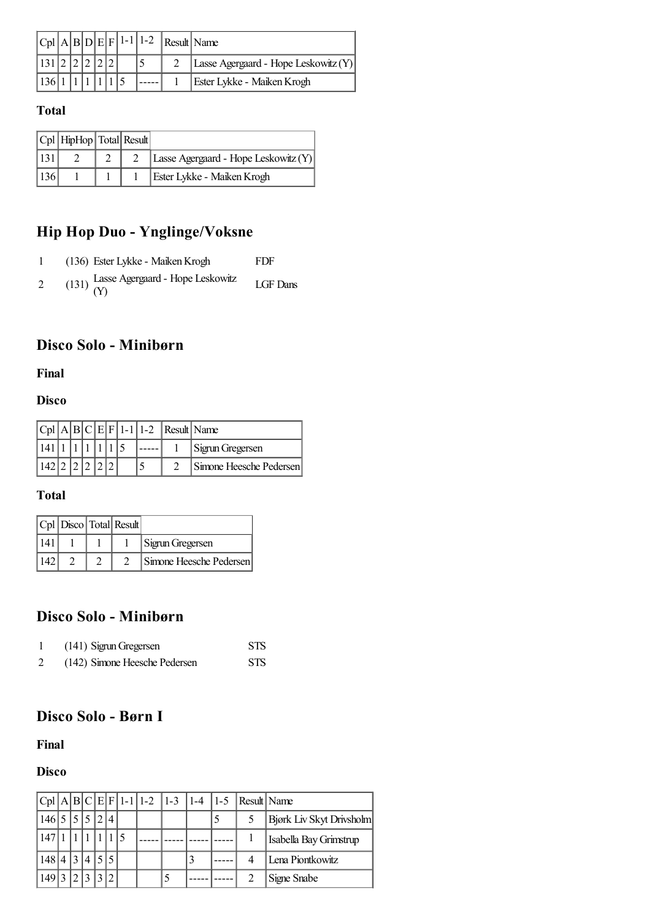|  |  |  | $ Cpl A B D E F 1-1 1-2$ | Result Name                          |
|--|--|--|--------------------------|--------------------------------------|
|  |  |  |                          | Lasse Agergaard - Hope Leskowitz (Y) |
|  |  |  |                          | Ester Lykke - Maiken Krogh           |

|     | $ Cpl $ HipHop $ Total $ Result |  |                                      |
|-----|---------------------------------|--|--------------------------------------|
|     |                                 |  | Lasse Agergaard - Hope Leskowitz (Y) |
| 136 |                                 |  | Ester Lykke - Maiken Krogh           |

# **Hip Hop Duo - Ynglinge/Voksne**

|   | (136) Ester Lykke - Maiken Krogh              | FDF      |
|---|-----------------------------------------------|----------|
| 2 | (131) Lasse Agergaard - Hope Leskowitz<br>(Y) | LGF Dans |

# <span id="page-9-0"></span>**Disco Solo - Minibørn**

#### **Final**

#### **Disco**

|  |  |  |  | $ Cpl A B C E F 1-1 1-2$ Result Name |                         |
|--|--|--|--|--------------------------------------|-------------------------|
|  |  |  |  |                                      | Sigrun Gregersen        |
|  |  |  |  |                                      | Simone Heesche Pedersen |

#### **Total**

|     |  | $ Cpl $ Disco $ Total $ Result |                         |
|-----|--|--------------------------------|-------------------------|
| 141 |  |                                | Sigrun Gregersen        |
|     |  |                                | Simone Heesche Pedersen |

### **Disco Solo - Minibørn**

| (141) Sigrun Gregersen        | <b>STS</b> |
|-------------------------------|------------|
| (142) Simone Heesche Pedersen | <b>STS</b> |

# <span id="page-9-1"></span>**Disco Solo - Børn I**

#### **Final**

### **Disco**

|       |               |  |                          |  |   | $ Cpl A B C E F 1-1 1-2 1-3 1-4 1-5 Result Name$ |                          |
|-------|---------------|--|--------------------------|--|---|--------------------------------------------------|--------------------------|
| 146 5 |               |  | $\overline{\mathcal{A}}$ |  |   |                                                  | Bjørk Liv Skyt Drivsholm |
| 147   |               |  |                          |  |   |                                                  | Isabella Bay Grimstrup   |
| 148 4 | 3             |  | $\overline{5}$           |  | 3 |                                                  | Lena Piontkowitz         |
| 149'  | $\mathcal{D}$ |  |                          |  |   |                                                  | Signe Snabe              |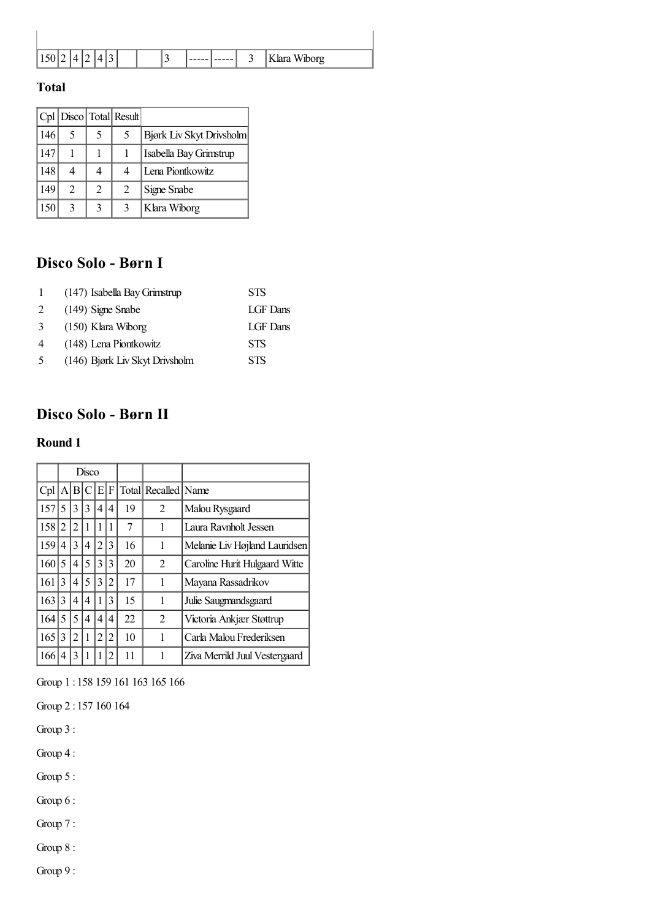| 150 |  |  |  | - |  | ⌒<br>◡ | Klara Wiborg |
|-----|--|--|--|---|--|--------|--------------|

|     |                |   | $ Cpl $ Disco $ Total $ Result |                          |
|-----|----------------|---|--------------------------------|--------------------------|
| 146 | 5              | 5 | 5                              | Bjørk Liv Skyt Drivsholm |
| 147 |                |   |                                | Isabella Bay Grimstrup   |
| 148 | 4              | 4 |                                | Lena Piontkowitz         |
| 149 | $\mathfrak{D}$ | 2 | 2                              | Signe Snabe              |
| 150 | 3              | 3 |                                | Klara Wiborg             |

# **Disco Solo - Børn I**

| $\mathbf{1}$ | (147) Isabella Bay Grimstrup   | <b>STS</b> |
|--------------|--------------------------------|------------|
| 2            | $(149)$ Signe Snabe            | LGF Dans   |
| 3            | $(150)$ Klara Wiborg           | LGF Dans   |
| 4            | (148) Lena Piontkowitz         | <b>STS</b> |
| 5            | (146) Bjørk Liv Skyt Drivsholm | <b>STS</b> |

# <span id="page-10-0"></span>**Disco Solo - Børn II**

#### **Round 1**

|     | Disco |                |   |                |                |    |                     |                               |
|-----|-------|----------------|---|----------------|----------------|----|---------------------|-------------------------------|
| Cpl |       | A B            | C | E              | F              |    | Total Recalled Name |                               |
| 157 | 5     | 3              | 3 | 4              | 4              | 19 | 2                   | Malou Rysgaard                |
| 158 | 2     | 2              |   |                | 1              | 7  | 1                   | Laura Raynholt Jessen         |
| 159 | 4     | 3              | 4 | $\overline{2}$ | 3              | 16 | 1                   | Melanie Liv Højland Lauridsen |
| 160 | 5     | 4              | 5 | 3              | 3              | 20 | 2                   | Caroline Hurit Hulgaard Witte |
| 161 | 3     | 4              | 5 | 3              | $\overline{c}$ | 17 | 1                   | Mayana Rassadrikov            |
| 163 | 3     | 4              | 4 |                | 3              | 15 | 1                   | Julie Saugmandsgaard          |
| 164 | 5     | 5              | 4 | 4              | 4              | 22 | 2                   | Victoria Ankjær Støttrup      |
| 165 | 3     | $\overline{c}$ |   | 2              | $\overline{2}$ | 10 | 1                   | Carla Malou Frederiksen       |
| 166 | 4     | 3              |   |                | 2              | 11 |                     | Ziva Merrild Juul Vestergaard |

Group 1 : 158 159 161 163 165 166

Group 2 : 157 160 164

Group 3 :

Group 4 :

Group 5 :

Group 6 :

Group 7 :

Group 8 :

Group 9 :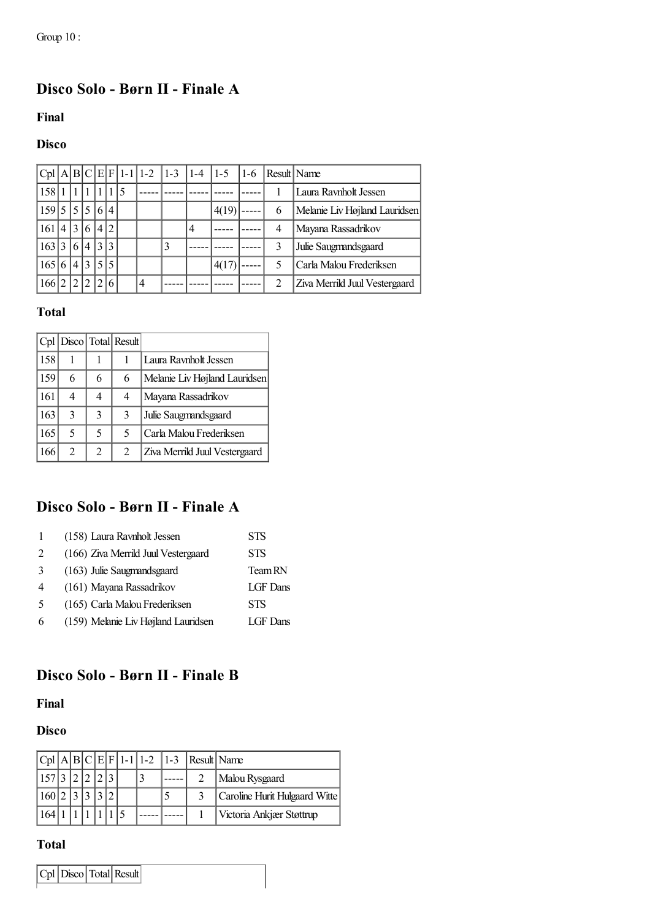# <span id="page-11-0"></span>**Disco Solo - Børn II - Finale A**

**Final**

#### **Disco**

|     |   |                |                |                          |                |             | $ Cpl A B C E F 1-1 1-2$ | $ 1-3 $ | $ 1-4 $ | $1 - 5$ | $1-6$ | Result   Name |                               |
|-----|---|----------------|----------------|--------------------------|----------------|-------------|--------------------------|---------|---------|---------|-------|---------------|-------------------------------|
| 158 |   |                |                |                          |                | $\varsigma$ |                          |         |         |         |       |               | Laura Ravnholt Jessen         |
| 159 | 5 | $\sim$ 1       | 5              | 6                        | $\overline{4}$ |             |                          |         |         | 4(19)   |       | 6             | Melanie Liv Højland Lauridsen |
| 161 | 4 | 13             | 6              | $\overline{4}$           | $\overline{c}$ |             |                          |         | 4       |         |       | 4             | Mayana Rassadrikov            |
| 163 | 3 | 6 <sup>1</sup> | $\overline{4}$ | 3                        | 3              |             |                          | 3       |         |         |       | 3             | Julie Saugmandsgaard          |
| 165 | 6 | $\overline{4}$ | 3              | $\overline{\phantom{0}}$ |                |             |                          |         |         | 4(17)   |       |               | Carla Malou Frederiksen       |
| 166 |   |                | $\mathcal{L}$  |                          |                |             | $\overline{4}$           |         |         |         |       | っ             | Ziva Merrild Juul Vestergaard |

#### **Total**

|     |   |   | Cpl   Disco   Total   Result |                               |
|-----|---|---|------------------------------|-------------------------------|
| 158 |   |   |                              | Laura Raynholt Jessen         |
| 159 | 6 | 6 | 6                            | Melanie Liv Højland Lauridsen |
| 161 | 4 | 4 | 4                            | Mayana Rassadrikov            |
| 163 | 3 | 3 | 3                            | Julie Saugmandsgaard          |
| 165 | 5 | 5 | 5                            | Carla Malou Frederiksen       |
| 166 | 2 | 2 | 2                            | Ziva Merrild Juul Vestergaard |

### **Disco Solo - Børn II - Finale A**

|                | (158) Laura Ravnholt Jessen         | <b>STS</b> |
|----------------|-------------------------------------|------------|
| $\mathfrak{D}$ | (166) Ziva Merrild Juul Vestergaard | <b>STS</b> |
| 3              | (163) Julie Saugmandsgaard          | Team RN    |
| $\overline{4}$ | (161) Mayana Rassadrikov            | LGF Dans   |
| -5             | (165) Carla Malou Frederiksen       | <b>STS</b> |
| 6              | (159) Melanie Liv Højland Lauridsen | LGF Dans   |

# <span id="page-11-1"></span>**Disco Solo - Børn II - Finale B**

#### **Final**

#### **Disco**

|          |  |  |  |  | $ Cpl A B C E F 1-1 1-2 1-3 Result Name$ |                               |
|----------|--|--|--|--|------------------------------------------|-------------------------------|
| 157 3 21 |  |  |  |  |                                          | Malou Rysgaard                |
| 160 2    |  |  |  |  |                                          | Caroline Hurit Hulgaard Witte |
|          |  |  |  |  |                                          | Victoria Ankjær Støttrup      |

#### **Total**

| Cpl   Disco   Total   Result |  |  |
|------------------------------|--|--|
|------------------------------|--|--|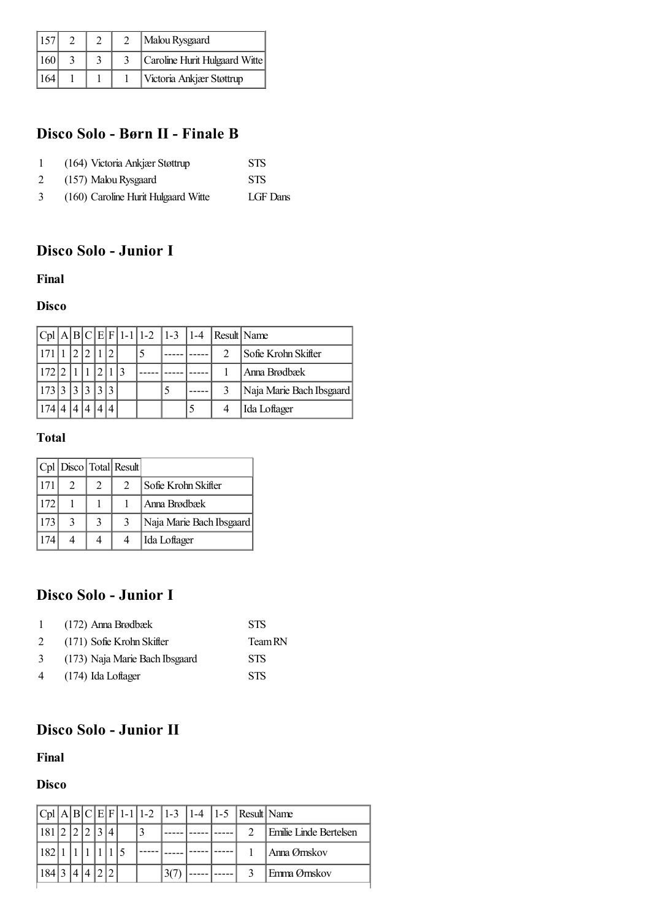| 157 |  | Malou Rysgaard                |
|-----|--|-------------------------------|
| 60  |  | Caroline Hurit Hulgaard Witte |
|     |  | Victoria Ankjær Støttrup      |

# **Disco Solo - Børn II - Finale B**

|   | (164) Victoria Ankjær Støttrup      | <b>STS</b> |
|---|-------------------------------------|------------|
| 2 | (157) Malou Rysgaard                | <b>STS</b> |
| 3 | (160) Caroline Hurit Hulgaard Witte | LGF Dans   |

# <span id="page-12-0"></span>**Disco Solo - Junior I**

#### **Final**

#### **Disco**

|     |  |  |  |  | $ Cpl A B C E F 1-1 1-2 1-3 1-4 Result Name$ |                          |
|-----|--|--|--|--|----------------------------------------------|--------------------------|
|     |  |  |  |  |                                              | Sofie Krohn Skifter      |
|     |  |  |  |  |                                              | Anna Brødbæk             |
|     |  |  |  |  |                                              | Naja Marie Bach Ibsgaard |
| 174 |  |  |  |  |                                              | Ida Loftager             |

#### **Total**

|     |                             | $ Cpl $ Disco $ Total $ Result |                          |
|-----|-----------------------------|--------------------------------|--------------------------|
|     | $\mathcal{D}_{\mathcal{L}}$ | $\mathfrak{D}$                 | Sofie Krohn Skifter      |
| 172 |                             |                                | Anna Brødbæk             |
| 173 |                             | 3                              | Naja Marie Bach Ibsgaard |
|     |                             |                                | Ida Loftager             |

# **Disco Solo - Junior I**

| $\mathbf{1}$ | (172) Anna Brødbæk             | <b>STS</b> |
|--------------|--------------------------------|------------|
| 2            | (171) Sofie Krohn Skifter      | Team RN    |
| 3            | (173) Naja Marie Bach Ibsgaard | <b>STS</b> |
| 4            | $(174)$ Ida Loftager           | <b>STS</b> |

# <span id="page-12-1"></span>**Disco Solo - Junior II**

#### **Final**

#### **Disco**

| 181 <sup> </sup><br>Emilie Linde Bertelsen |  |
|--------------------------------------------|--|
|                                            |  |
| 182<br>Anna Ørnskov                        |  |
| 184 3<br>Emma Ørnskov                      |  |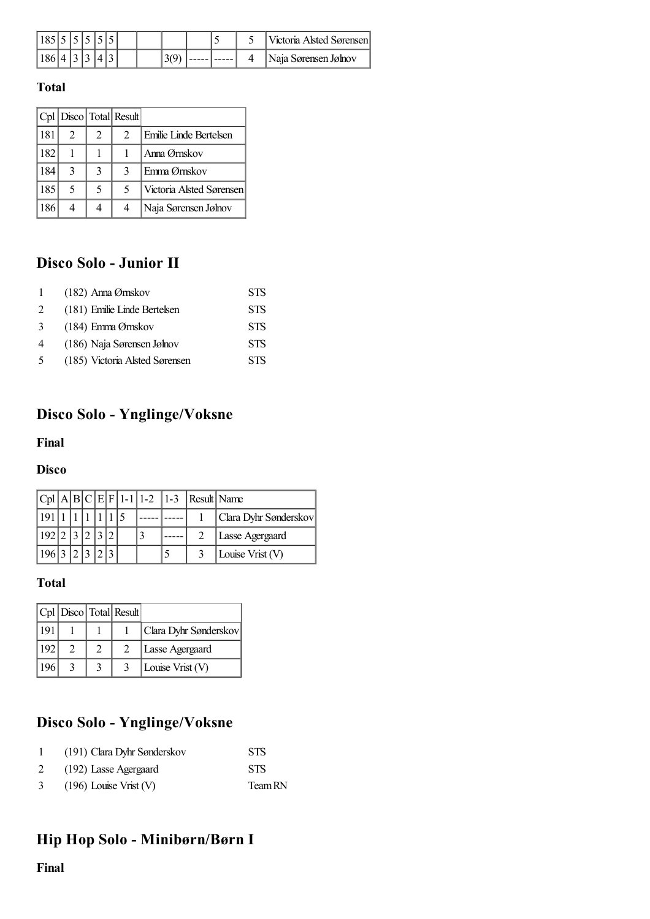|  |  |  |  |  |  | Victoria Alsted Sørensen |
|--|--|--|--|--|--|--------------------------|
|  |  |  |  |  |  | Naja Sørensen Jølnov     |

|     |   |                | Cpl   Disco   Total   Result |                          |
|-----|---|----------------|------------------------------|--------------------------|
| 181 | 2 | $\mathfrak{D}$ | $\mathfrak{D}$               | l Emilie Linde Bertelsen |
| 182 |   |                |                              | Anna Ørnskov             |
| 184 | 3 | 3              | 3                            | l Emma Ørnskov           |
| 185 | 5 | 5              | 5                            | Victoria Alsted Sørensen |
| 186 |   |                | 4                            | Naja Sørensen Jølnov     |

# **Disco Solo - Junior II**

| $\mathbf{1}$ | (182) Anna Ørnskov             | <b>STS</b> |
|--------------|--------------------------------|------------|
| 2            | (181) Emilie Linde Bertelsen   | <b>STS</b> |
| 3            | (184) Emma Ørnskov             | <b>STS</b> |
| 4            | (186) Naja Sørensen Jølnov     | <b>STS</b> |
| 5            | (185) Victoria Alsted Sørensen | <b>STS</b> |

# <span id="page-13-0"></span>**Disco Solo - Ynglinge/Voksne**

#### **Final**

#### **Disco**

|  |  |  |  | $ Cpl A B C E F 1-1 1-2 1-3 Result Name$ |                       |
|--|--|--|--|------------------------------------------|-----------------------|
|  |  |  |  |                                          | Clara Dyhr Sønderskov |
|  |  |  |  |                                          | Lasse Agergaard       |
|  |  |  |  |                                          | Louise Vrist $(V)$    |

### **Total**

|     |  | $ Cpl $ Disco $ Total $ Result |                       |
|-----|--|--------------------------------|-----------------------|
| 191 |  |                                | Clara Dyhr Sønderskov |
| 192 |  |                                | Lasse Agergaard       |
| 196 |  |                                | Louise Vrist (V)      |

## **Disco Solo - Ynglinge/Voksne**

|   | (191) Clara Dyhr Sønderskov | <b>STS</b> |
|---|-----------------------------|------------|
| 2 | (192) Lasse Agergaard       | <b>STS</b> |
| 3 | $(196)$ Louise Vrist (V)    | Team RN    |

# <span id="page-13-1"></span>**Hip Hop Solo - Minibørn/Børn I**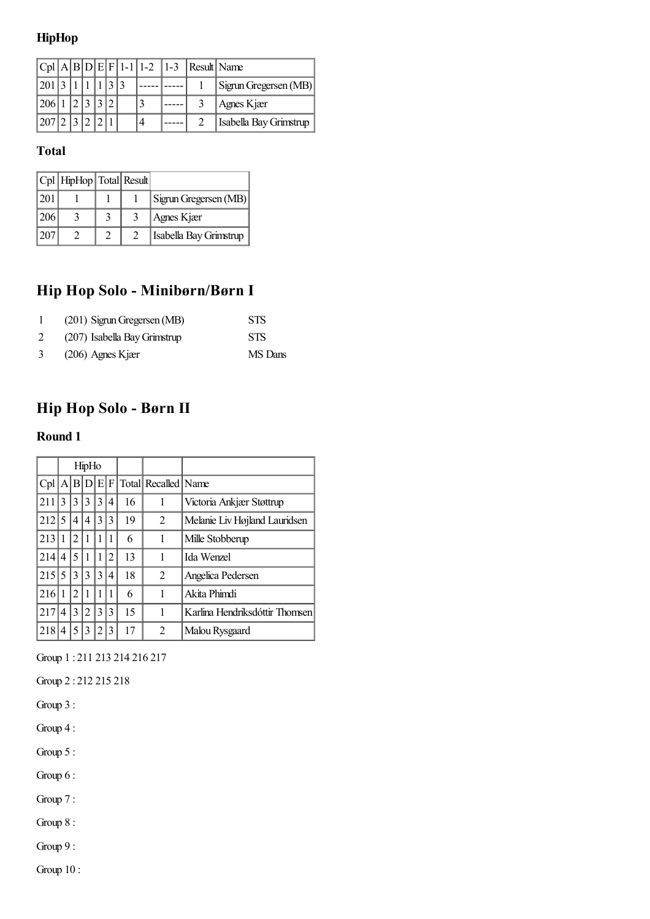### **HipHop**

|                               |  |  |  |  | $ Cpl A B D E F 1-1 1-2 1-3 Result Name$ |                               |
|-------------------------------|--|--|--|--|------------------------------------------|-------------------------------|
| $ 201 $ 3   1   1   1   3   3 |  |  |  |  |                                          | Sigrun Gregersen (MB)         |
| 206 1 2 3 3 2                 |  |  |  |  |                                          | Agnes Kjær                    |
| 207 2 3 2 2 1                 |  |  |  |  |                                          | <b>Isabella Bay Grimstrup</b> |

#### **Total**

|     | $ Cpl $ HipHop $ Total $ Result |  |                        |
|-----|---------------------------------|--|------------------------|
| 201 |                                 |  | Sigrun Gregersen (MB)  |
| 206 |                                 |  | Agnes Kjær             |
| 20' |                                 |  | Isabella Bay Grimstrup |

# **Hip Hop Solo - Minibørn/Børn I**

|   | (201) Sigrun Gregersen (MB)  | <b>STS</b> |
|---|------------------------------|------------|
| 2 | (207) Isabella Bay Grimstrup | <b>STS</b> |
| 3 | $(206)$ Agnes Kjær           | MS Dans    |

# <span id="page-14-0"></span>**Hip Hop Solo - Børn II**

#### **Round 1**

|     | HipHo |   |           |   |   |    |                             |                                |
|-----|-------|---|-----------|---|---|----|-----------------------------|--------------------------------|
| Cpl |       |   | A B D E F |   |   |    | Total Recalled   Name       |                                |
| 211 | 3     | 3 | 3         | 3 | 4 | 16 |                             | Victoria Ankjær Støttrup       |
| 212 | 5     | 4 | 4         | 3 | 3 | 19 | 2                           | Melanie Liv Højland Lauridsen  |
| 213 | 1     | 2 |           |   |   | 6  |                             | Mille Stobberup                |
| 214 | 4     | 5 |           |   | 2 | 13 |                             | Ida Wenzel                     |
| 215 | 5     | 3 | 3         | 3 | 4 | 18 | $\mathfrak{D}$              | Angelica Pedersen              |
| 216 | 1     | 2 |           |   |   | 6  |                             | Akita Phimdi                   |
| 217 | 4     | 3 | 2         | 3 | 3 | 15 |                             | Karlina Hendriksdóttir Thomsen |
| 218 | 4     | 5 | 3         | 2 | 3 | 17 | $\mathcal{D}_{\mathcal{L}}$ | Malou Rysgaard                 |

Group 1 : 211 213 214 216 217

Group 2 : 212 215 218

Group 3 :

Group 4 :

Group 5 :

Group 6 :

Group 7 :

Group 8 :

Group 9 :

Group 10 :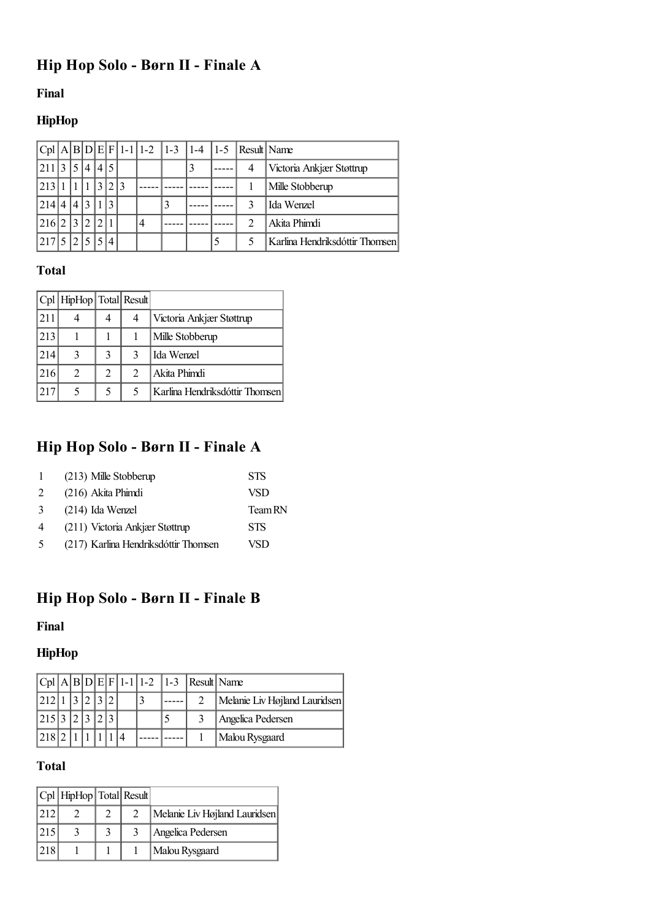# <span id="page-15-0"></span>**Hip Hop Solo - Børn II - Finale A**

#### **Final**

## **HipHop**

|       |                |    |    |     |  |   |  | $ Cpl A B D E F 1-1 1-2 1-3 1-4 1-5 Result Name$ |                                |
|-------|----------------|----|----|-----|--|---|--|--------------------------------------------------|--------------------------------|
| 211 3 |                | 5  | 4  | 4 5 |  |   |  | 4                                                | Victoria Ankjær Støttrup       |
| 213   |                |    |    | 3   |  |   |  |                                                  | Mille Stobberup                |
| 214   | $\overline{4}$ | 14 | 13 |     |  | 3 |  |                                                  | Ida Wenzel                     |
| 216   |                | 3  |    | 2.  |  |   |  |                                                  | Akita Phimdi                   |
| 217   |                |    |    |     |  |   |  |                                                  | Karlina Hendriksdóttir Thomsen |

### **Total**

|     | Cpl   HipHop   Total   Result |   |               |                                |
|-----|-------------------------------|---|---------------|--------------------------------|
| 211 |                               | 4 | 4             | Victoria Ankjær Støttrup       |
| 213 |                               |   |               | Mille Stobberup                |
| 214 | 3                             | 3 | 3             | Ida Wenzel                     |
| 216 | $\overline{c}$                | 2 | $\mathcal{L}$ | Akita Phimdi                   |
|     |                               | 5 | 5             | Karlina Hendriksdóttir Thomsen |

# **Hip Hop Solo - Børn II - Finale A**

| $\mathbf{1}$   | (213) Mille Stobberup                | <b>STS</b> |
|----------------|--------------------------------------|------------|
| $\mathcal{L}$  | (216) Akita Phimdi                   | VSD        |
| 3              | $(214)$ Ida Wenzel                   | Team RN    |
| $\overline{4}$ | (211) Victoria Ankjær Støttrup       | <b>STS</b> |
| $\sim$         | (217) Karlina Hendriksdóttir Thomsen | VSD        |

# <span id="page-15-1"></span>**Hip Hop Solo - Børn II - Finale B**

#### **Final**

## **HipHop**

|                                         |  |  |  |  | $ Cpl A B D E F 1-1 1-2 1-3 Result Name$ |                               |
|-----------------------------------------|--|--|--|--|------------------------------------------|-------------------------------|
| 212 1 3                                 |  |  |  |  |                                          | Melanie Liv Højland Lauridsen |
| 215 3 2 3                               |  |  |  |  |                                          | Angelica Pedersen             |
| $1218$ <sup><math>^{\circ}</math></sup> |  |  |  |  |                                          | Malou Rysgaard                |

### **Total**

|               | $ Cpl $ HipHop $ Total $ Result |  |                               |
|---------------|---------------------------------|--|-------------------------------|
| 1212          |                                 |  | Melanie Liv Højland Lauridsen |
| 215           |                                 |  | Angelica Pedersen             |
| $ 218\rangle$ |                                 |  | Malou Rysgaard                |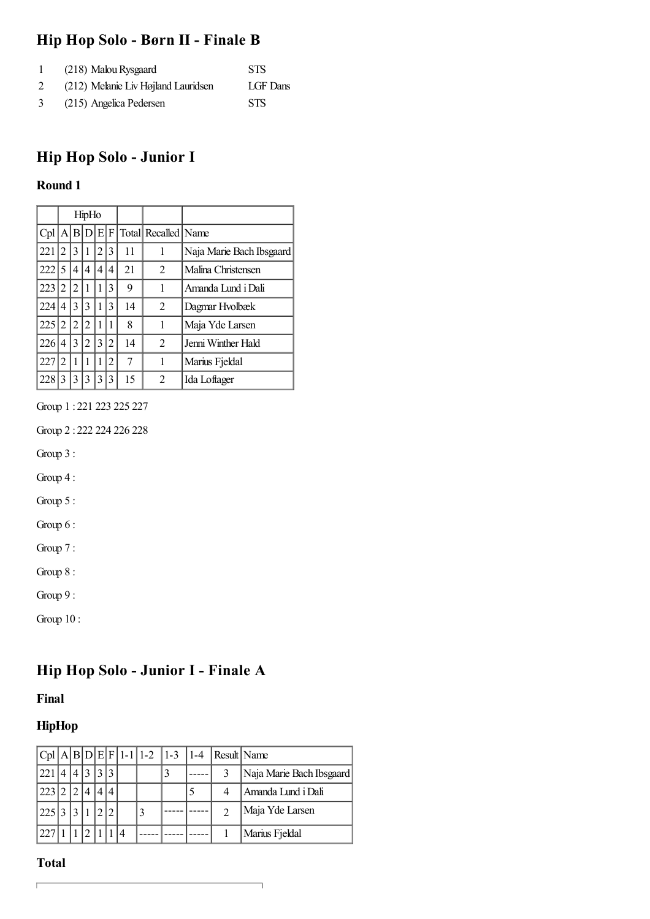## **Hip Hop Solo - Børn II - Finale B**

|   | (218) Malou Rysgaard                | <b>STS</b> |
|---|-------------------------------------|------------|
|   | (212) Melanie Liv Højland Lauridsen | LGF Dans   |
| 3 | (215) Angelica Pedersen             | <b>STS</b> |

# <span id="page-16-0"></span>**Hip Hop Solo - Junior I**

#### **Round 1**

|     | HipHo          |    |     |      |   |    |                     |                          |
|-----|----------------|----|-----|------|---|----|---------------------|--------------------------|
| Cpl | A              | ΙB | .ID | IEIF |   |    | Total Recalled Name |                          |
| 221 | 2              | 3  |     | 2    | 3 | 11 | 1                   | Naja Marie Bach Ibsgaard |
| 222 | 5              | 4  | 4   | 4    | 4 | 21 | $\overline{c}$      | Malina Christensen       |
| 223 | 2              | 2  |     | 1    | 3 | 9  | 1                   | Amanda Lund i Dali       |
| 224 | 4              | 3  | 3   | 1    | 3 | 14 | $\overline{c}$      | Dagmar Hvolbæk           |
| 225 | 2              | 2  | 2   | 1    |   | 8  | 1                   | Maja Yde Larsen          |
| 226 | 4              | 3  | 2   | 3    | 2 | 14 | $\overline{c}$      | Jenni Winther Hald       |
| 227 | $\mathfrak{D}$ | 1  |     | 1    | 2 | 7  | 1                   | Marius Fjeldal           |
| 228 | 3              | 3  | 3   | 3    | 3 | 15 | $\mathfrak{D}$      | Ida Loftager             |

Group 1 : 221 223 225 227

Group 2 : 222 224 226 228

Group 3 :

Group 4 :

Group 5 :

Group 6 :

Group 7 :

Group 8 :

Group 9 :

Group 10 :

## <span id="page-16-1"></span>**Hip Hop Solo - Junior I - Finale A**

**Final**

### **HipHop**

|           |  |              |                |               |  |  | $ Cpl A B D E F 1-1 1-2 1-3 1-4 Result Name$ |                          |
|-----------|--|--------------|----------------|---------------|--|--|----------------------------------------------|--------------------------|
| 221       |  | $\mathbf{R}$ | $\mathbf{c}$   | $\mathcal{R}$ |  |  |                                              | Naja Marie Bach Ibsgaard |
| 223 2     |  |              | $\overline{4}$ |               |  |  |                                              | Amanda Lund i Dali       |
| 225 3 3 1 |  |              |                |               |  |  |                                              | Maja Yde Larsen          |
|           |  |              |                |               |  |  |                                              | Marius Fjeldal           |

٦

#### **Total**

 $\overline{\Gamma}$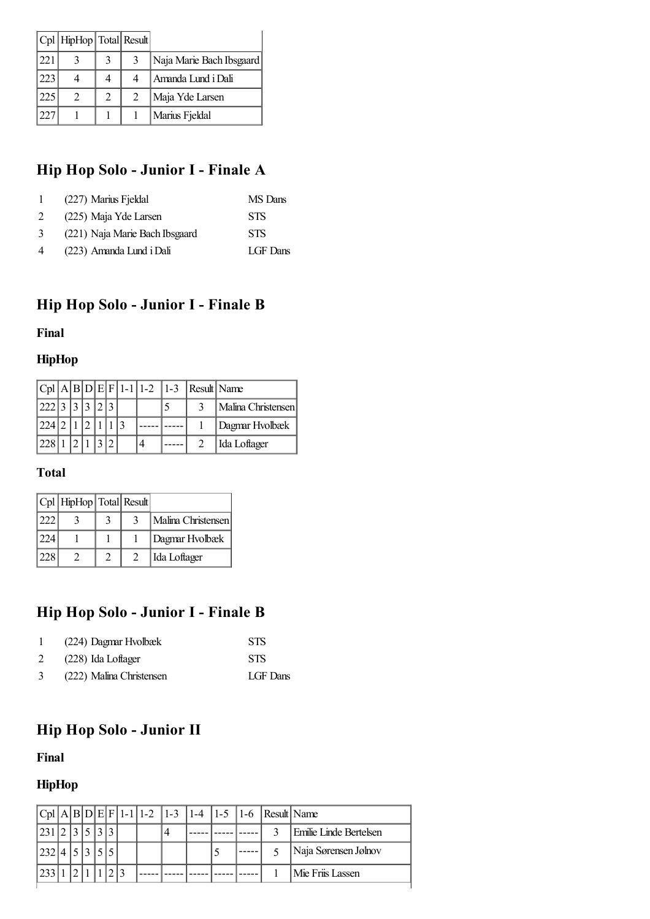|     | Cpl   HipHop   Total   Result |   |               |                          |
|-----|-------------------------------|---|---------------|--------------------------|
| 221 |                               |   |               | Naja Marie Bach Ibsgaard |
| 223 |                               |   |               | Amanda Lund i Dali       |
| 225 |                               | 2 | $\mathcal{D}$ | Maja Yde Larsen          |
|     |                               |   |               | Marius Fjeldal           |

# **Hip Hop Solo - Junior I - Finale A**

| $\mathbf{L}$ | (227) Marius Fjeldal           | MS Dans    |
|--------------|--------------------------------|------------|
| 2            | (225) Maja Yde Larsen          | <b>STS</b> |
| 3            | (221) Naja Marie Bach Ibsgaard | <b>STS</b> |
| 4            | (223) Amanda Lund i Dali       | LGF Dans   |

# <span id="page-17-0"></span>**Hip Hop Solo - Junior I - Finale B**

#### **Final**

#### **HipHop**

|               |  |  |  |  | $ Cpl A B D E F 1-1 1-2 1-3 $ Result Name |                    |
|---------------|--|--|--|--|-------------------------------------------|--------------------|
| 222 3 3 3 2 3 |  |  |  |  |                                           | Malina Christensen |
| 224 2 1       |  |  |  |  |                                           | Dagmar Hvolbæk     |
| 12281         |  |  |  |  |                                           | Ida Loftager       |

### **Total**

|     | $ Cpl $ HipHop $ Total $ Result |  |                    |
|-----|---------------------------------|--|--------------------|
| 222 |                                 |  | Malina Christensen |
| 224 |                                 |  | Dagmar Hvolbæk     |
| 228 |                                 |  | Ida Loftager       |

# **Hip Hop Solo - Junior I - Finale B**

|   | (224) Dagmar Hvolbæk     | <b>STS</b> |
|---|--------------------------|------------|
| 2 | (228) Ida Loftager       | <b>STS</b> |
| 3 | (222) Malina Christensen | LGF Dans   |

# <span id="page-17-1"></span>**Hip Hop Solo - Junior II**

#### **Final**

## **HipHop**

|           |  |  |  |                |  | $ Cpl A B D E F 1-1 1-2 1-3 1-4 1-5 1-6 Result Name$ |                        |
|-----------|--|--|--|----------------|--|------------------------------------------------------|------------------------|
| 231       |  |  |  | $\overline{4}$ |  | 2                                                    | Emilie Linde Bertelsen |
| 232 4 5 3 |  |  |  |                |  |                                                      | Naja Sørensen Jølnov   |
|           |  |  |  |                |  |                                                      | Mie Friis Lassen       |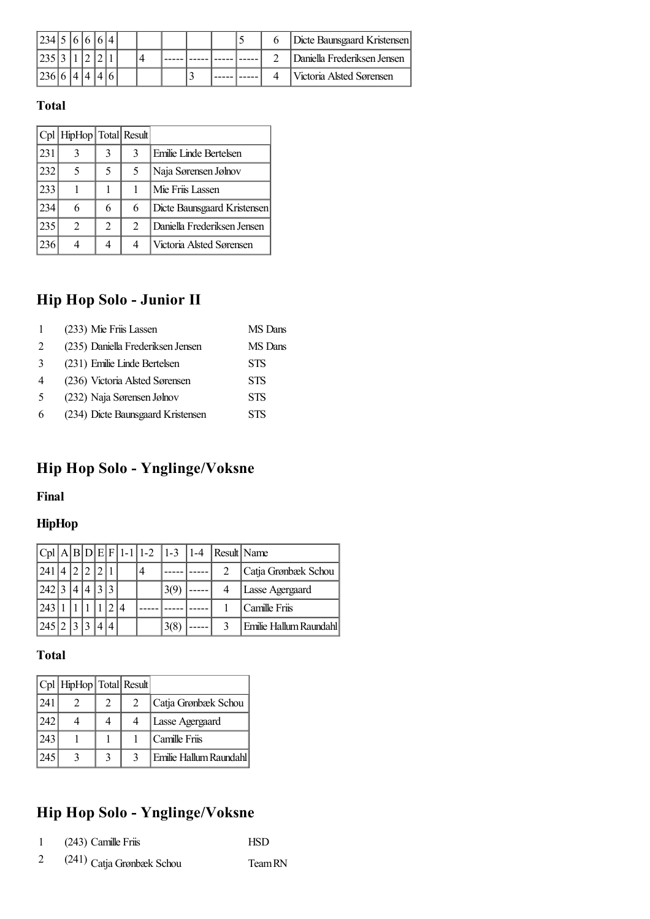| 234 5 6 6 |  |  |  |  |  |  | Dicte Baunsgaard Kristensen |
|-----------|--|--|--|--|--|--|-----------------------------|
|           |  |  |  |  |  |  | Daniella Frederiksen Jensen |
|           |  |  |  |  |  |  | Victoria Alsted Sørensen    |

|     | Cpl   HipHop   Total   Result |                |                |                             |
|-----|-------------------------------|----------------|----------------|-----------------------------|
| 231 |                               | 3              | 3              | Emilie Linde Bertelsen      |
| 232 | 5                             | 5              | 5.             | Naja Sørensen Jølnov        |
| 233 |                               |                |                | Mie Friis Lassen            |
| 234 | 6                             | 6              | 6              | Dicte Baunsgaard Kristensen |
| 235 | $\mathfrak{D}$                | $\mathfrak{D}$ | $\mathfrak{D}$ | Daniella Frederiksen Jensen |
| 236 |                               |                |                | Victoria Alsted Sørensen    |

# **Hip Hop Solo - Junior II**

|                | (233) Mie Friis Lassen            | MS Dans    |
|----------------|-----------------------------------|------------|
| 2              | (235) Daniella Frederiksen Jensen | MS Dans    |
| 3              | (231) Emilie Linde Bertelsen      | <b>STS</b> |
| $\overline{4}$ | (236) Victoria Alsted Sørensen    | <b>STS</b> |
| -5             | (232) Naja Sørensen Jølnov        | <b>STS</b> |
| 6              | (234) Dicte Baunsgaard Kristensen | <b>STS</b> |

# <span id="page-18-0"></span>**Hip Hop Solo - Ynglinge/Voksne**

#### **Final**

#### **HipHop**

|         |  |  |  |   | $ Cpl A B D E F 1-1 1-2 1-3 1-4$ | Result Name |                        |
|---------|--|--|--|---|----------------------------------|-------------|------------------------|
| 241     |  |  |  | 4 |                                  |             | Catja Grønbæk Schou    |
| $242$ : |  |  |  |   | 3(9)                             |             | Lasse Agergaard        |
| 243     |  |  |  |   |                                  |             | Camille Friis          |
| 245 2   |  |  |  |   | 3(8)                             | 2           | Emilie Hallum Raundahl |

### **Total**

|     | Cpl HipHop   Total Result |               |               |                        |
|-----|---------------------------|---------------|---------------|------------------------|
| 241 |                           | $\mathcal{L}$ | $\mathcal{D}$ | Catja Grønbæk Schou    |
| 242 |                           |               |               | Lasse Agergaard        |
| 243 |                           |               |               | Camille Friis          |
| 245 |                           |               |               | Emilie Hallum Raundahl |

# **Hip Hop Solo - Ynglinge/Voksne**

| (243) Camille Friis | <b>HSD</b> |
|---------------------|------------|
|                     |            |

(241) Catja Grønbæk Schou TeamRN